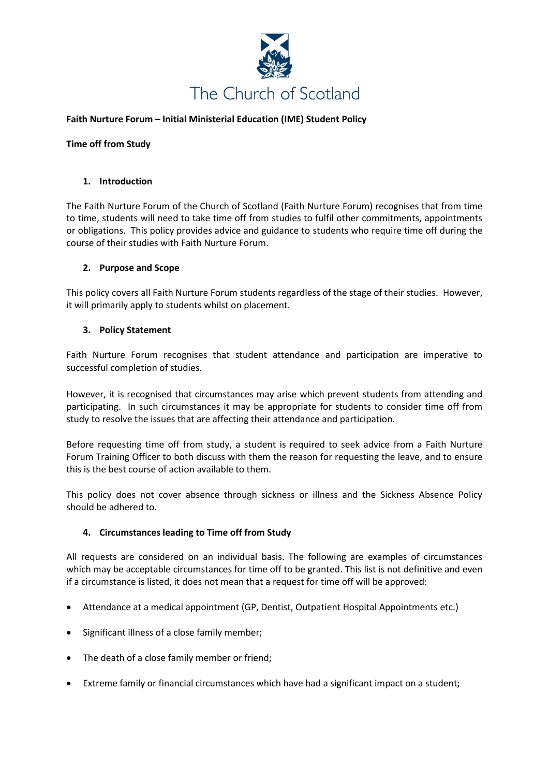

## **Faith Nurture Forum – Initial Ministerial Education (IME) Student Policy**

#### **Time off from Study**

#### **1. Introduction**

The Faith Nurture Forum of the Church of Scotland (Faith Nurture Forum) recognises that from time to time, students will need to take time off from studies to fulfil other commitments, appointments or obligations. This policy provides advice and guidance to students who require time off during the course of their studies with Faith Nurture Forum.

### **2. Purpose and Scope**

This policy covers all Faith Nurture Forum students regardless of the stage of their studies. However, it will primarily apply to students whilst on placement.

#### **3. Policy Statement**

Faith Nurture Forum recognises that student attendance and participation are imperative to successful completion of studies.

However, it is recognised that circumstances may arise which prevent students from attending and participating. In such circumstances it may be appropriate for students to consider time off from study to resolve the issues that are affecting their attendance and participation.

Before requesting time off from study, a student is required to seek advice from a Faith Nurture Forum Training Officer to both discuss with them the reason for requesting the leave, and to ensure this is the best course of action available to them.

This policy does not cover absence through sickness or illness and the Sickness Absence Policy should be adhered to.

# **4. Circumstances leading to Time off from Study**

All requests are considered on an individual basis. The following are examples of circumstances which may be acceptable circumstances for time off to be granted. This list is not definitive and even if a circumstance is listed, it does not mean that a request for time off will be approved:

- Attendance at a medical appointment (GP, Dentist, Outpatient Hospital Appointments etc.)
- Significant illness of a close family member;
- The death of a close family member or friend;
- Extreme family or financial circumstances which have had a significant impact on a student;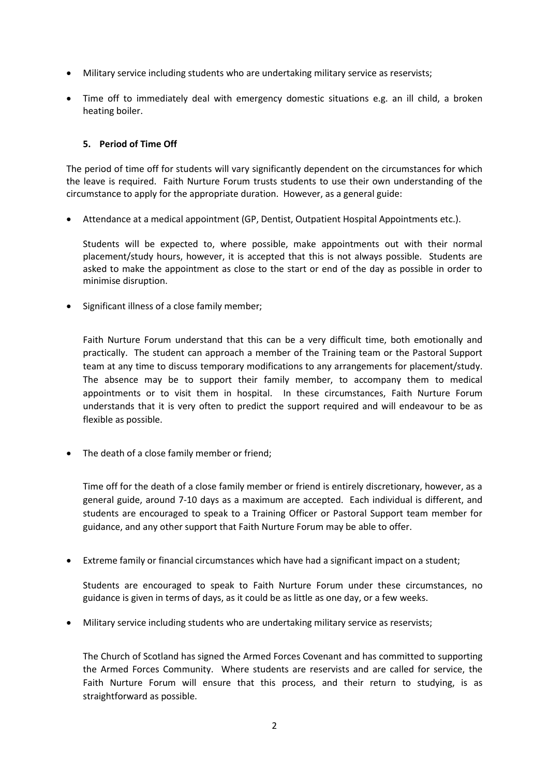- Military service including students who are undertaking military service as reservists;
- Time off to immediately deal with emergency domestic situations e.g. an ill child, a broken heating boiler.

## **5. Period of Time Off**

The period of time off for students will vary significantly dependent on the circumstances for which the leave is required. Faith Nurture Forum trusts students to use their own understanding of the circumstance to apply for the appropriate duration. However, as a general guide:

• Attendance at a medical appointment (GP, Dentist, Outpatient Hospital Appointments etc.).

Students will be expected to, where possible, make appointments out with their normal placement/study hours, however, it is accepted that this is not always possible. Students are asked to make the appointment as close to the start or end of the day as possible in order to minimise disruption.

• Significant illness of a close family member;

Faith Nurture Forum understand that this can be a very difficult time, both emotionally and practically. The student can approach a member of the Training team or the Pastoral Support team at any time to discuss temporary modifications to any arrangements for placement/study. The absence may be to support their family member, to accompany them to medical appointments or to visit them in hospital. In these circumstances, Faith Nurture Forum understands that it is very often to predict the support required and will endeavour to be as flexible as possible.

• The death of a close family member or friend;

Time off for the death of a close family member or friend is entirely discretionary, however, as a general guide, around 7-10 days as a maximum are accepted. Each individual is different, and students are encouraged to speak to a Training Officer or Pastoral Support team member for guidance, and any other support that Faith Nurture Forum may be able to offer.

• Extreme family or financial circumstances which have had a significant impact on a student;

Students are encouraged to speak to Faith Nurture Forum under these circumstances, no guidance is given in terms of days, as it could be as little as one day, or a few weeks.

• Military service including students who are undertaking military service as reservists;

The Church of Scotland has signed the Armed Forces Covenant and has committed to supporting the Armed Forces Community. Where students are reservists and are called for service, the Faith Nurture Forum will ensure that this process, and their return to studying, is as straightforward as possible.